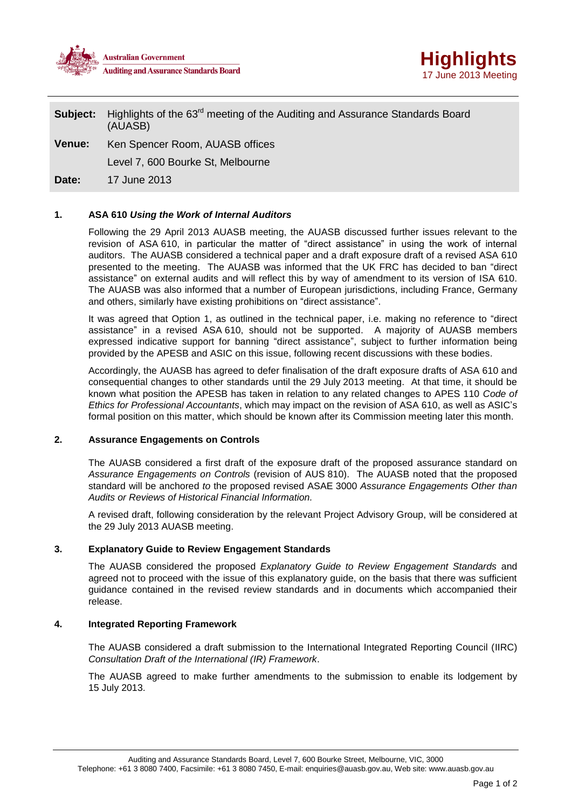



**Subject:** Highlights of the 63<sup>rd</sup> meeting of the Auditing and Assurance Standards Board (AUASB)

**Venue:** Ken Spencer Room, AUASB offices

Level 7, 600 Bourke St, Melbourne

**Date:** 17 June 2013

# **1. ASA 610** *Using the Work of Internal Auditors*

Following the 29 April 2013 AUASB meeting, the AUASB discussed further issues relevant to the revision of ASA 610, in particular the matter of "direct assistance" in using the work of internal auditors. The AUASB considered a technical paper and a draft exposure draft of a revised ASA 610 presented to the meeting. The AUASB was informed that the UK FRC has decided to ban "direct assistance" on external audits and will reflect this by way of amendment to its version of ISA 610. The AUASB was also informed that a number of European jurisdictions, including France, Germany and others, similarly have existing prohibitions on "direct assistance".

It was agreed that Option 1, as outlined in the technical paper, i.e. making no reference to "direct assistance" in a revised ASA 610, should not be supported. A majority of AUASB members expressed indicative support for banning "direct assistance", subject to further information being provided by the APESB and ASIC on this issue, following recent discussions with these bodies.

Accordingly, the AUASB has agreed to defer finalisation of the draft exposure drafts of ASA 610 and consequential changes to other standards until the 29 July 2013 meeting. At that time, it should be known what position the APESB has taken in relation to any related changes to APES 110 *Code of Ethics for Professional Accountants*, which may impact on the revision of ASA 610, as well as ASIC's formal position on this matter, which should be known after its Commission meeting later this month.

# **2. Assurance Engagements on Controls**

The AUASB considered a first draft of the exposure draft of the proposed assurance standard on *Assurance Engagements on Controls* (revision of AUS 810). The AUASB noted that the proposed standard will be anchored *to* the proposed revised ASAE 3000 *Assurance Engagements Other than Audits or Reviews of Historical Financial Information.* 

A revised draft, following consideration by the relevant Project Advisory Group, will be considered at the 29 July 2013 AUASB meeting.

# **3. Explanatory Guide to Review Engagement Standards**

The AUASB considered the proposed *Explanatory Guide to Review Engagement Standards* and agreed not to proceed with the issue of this explanatory guide, on the basis that there was sufficient guidance contained in the revised review standards and in documents which accompanied their release.

# **4. Integrated Reporting Framework**

The AUASB considered a draft submission to the International Integrated Reporting Council (IIRC) *Consultation Draft of the International (IR) Framework*.

The AUASB agreed to make further amendments to the submission to enable its lodgement by 15 July 2013.